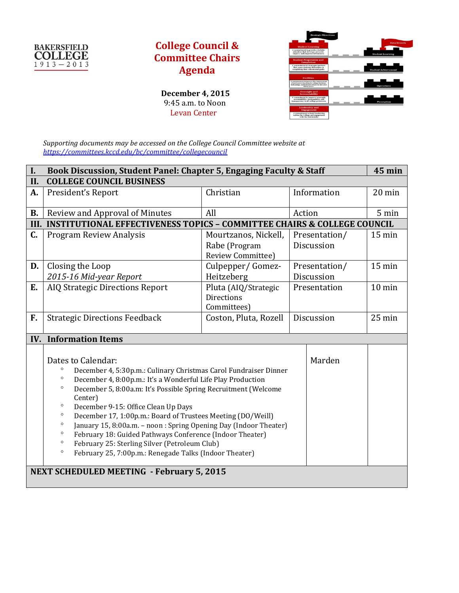

## **College Council & Committee Chairs Agenda**

 **December 4, 2015** 9:45 a.m. to Noon Levan Center



*Supporting documents may be accessed on the College Council Committee website at <https://committees.kccd.edu/bc/committee/collegecouncil>*

| I.                                               | Book Discussion, Student Panel: Chapter 5, Engaging Faculty & Staff                                                                                                                                                                                                                                                                                                                                                                                                                                                                                                                                                                                                                     |                                                            |                             |        | <b>45 min</b>    |  |
|--------------------------------------------------|-----------------------------------------------------------------------------------------------------------------------------------------------------------------------------------------------------------------------------------------------------------------------------------------------------------------------------------------------------------------------------------------------------------------------------------------------------------------------------------------------------------------------------------------------------------------------------------------------------------------------------------------------------------------------------------------|------------------------------------------------------------|-----------------------------|--------|------------------|--|
| II.                                              | <b>COLLEGE COUNCIL BUSINESS</b>                                                                                                                                                                                                                                                                                                                                                                                                                                                                                                                                                                                                                                                         |                                                            |                             |        |                  |  |
| A.                                               | President's Report                                                                                                                                                                                                                                                                                                                                                                                                                                                                                                                                                                                                                                                                      | Christian                                                  | Information                 |        | 20 min           |  |
| <b>B.</b>                                        | Review and Approval of Minutes                                                                                                                                                                                                                                                                                                                                                                                                                                                                                                                                                                                                                                                          | All                                                        | Action                      |        | 5 min            |  |
|                                                  | III. INSTITUTIONAL EFFECTIVENESS TOPICS - COMMITTEE CHAIRS & COLLEGE COUNCIL                                                                                                                                                                                                                                                                                                                                                                                                                                                                                                                                                                                                            |                                                            |                             |        |                  |  |
| C.                                               | <b>Program Review Analysis</b>                                                                                                                                                                                                                                                                                                                                                                                                                                                                                                                                                                                                                                                          | Mourtzanos, Nickell,<br>Rabe (Program<br>Review Committee) | Presentation/<br>Discussion |        | $15 \text{ min}$ |  |
| D.                                               | Closing the Loop<br>2015-16 Mid-year Report                                                                                                                                                                                                                                                                                                                                                                                                                                                                                                                                                                                                                                             | Culpepper/Gomez-<br>Heitzeberg                             | Presentation/<br>Discussion |        | $15 \text{ min}$ |  |
| E.                                               | <b>AIQ Strategic Directions Report</b>                                                                                                                                                                                                                                                                                                                                                                                                                                                                                                                                                                                                                                                  | Pluta (AIQ/Strategic<br><b>Directions</b><br>Committees)   | Presentation                |        | 10 min           |  |
| F.                                               | <b>Strategic Directions Feedback</b>                                                                                                                                                                                                                                                                                                                                                                                                                                                                                                                                                                                                                                                    | Coston, Pluta, Rozell                                      | Discussion                  |        | $25 \text{ min}$ |  |
|                                                  | <b>IV.</b> Information Items                                                                                                                                                                                                                                                                                                                                                                                                                                                                                                                                                                                                                                                            |                                                            |                             |        |                  |  |
|                                                  | Dates to Calendar:<br>$\circ$<br>December 4, 5:30p.m.: Culinary Christmas Carol Fundraiser Dinner<br>$\circ$<br>December 4, 8:00p.m.: It's a Wonderful Life Play Production<br>December 5, 8:00a.m: It's Possible Spring Recruitment (Welcome<br>$\circ$<br>Center)<br>$\circ$<br>December 9-15: Office Clean Up Days<br>$\circ$<br>December 17, 1:00p.m.: Board of Trustees Meeting (DO/Weill)<br>$\circ$<br>January 15, 8:00a.m. - noon : Spring Opening Day (Indoor Theater)<br>February 18: Guided Pathways Conference (Indoor Theater)<br>$\circ$<br>$\circ$<br>February 25: Sterling Silver (Petroleum Club)<br>February 25, 7:00p.m.: Renegade Talks (Indoor Theater)<br>$\circ$ |                                                            |                             | Marden |                  |  |
| <b>NEXT SCHEDULED MEETING - February 5, 2015</b> |                                                                                                                                                                                                                                                                                                                                                                                                                                                                                                                                                                                                                                                                                         |                                                            |                             |        |                  |  |